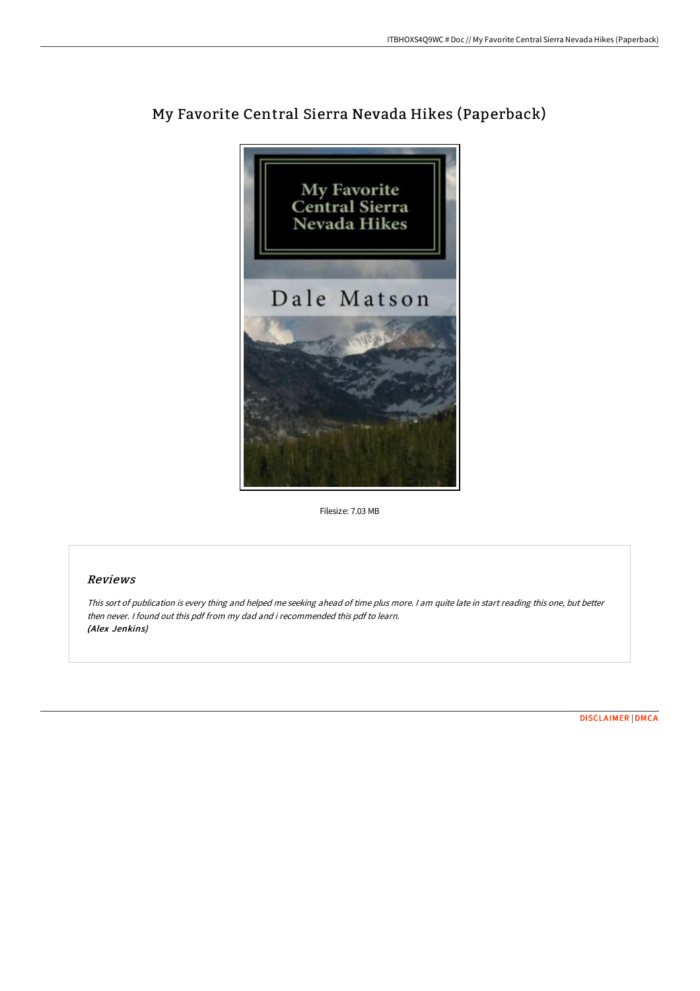

# My Favorite Central Sierra Nevada Hikes (Paperback)

Filesize: 7.03 MB

## Reviews

This sort of publication is every thing and helped me seeking ahead of time plus more. <sup>I</sup> am quite late in start reading this one, but better then never. I found out this pdf from my dad and i recommended this pdf to learn. (Alex Jenkins)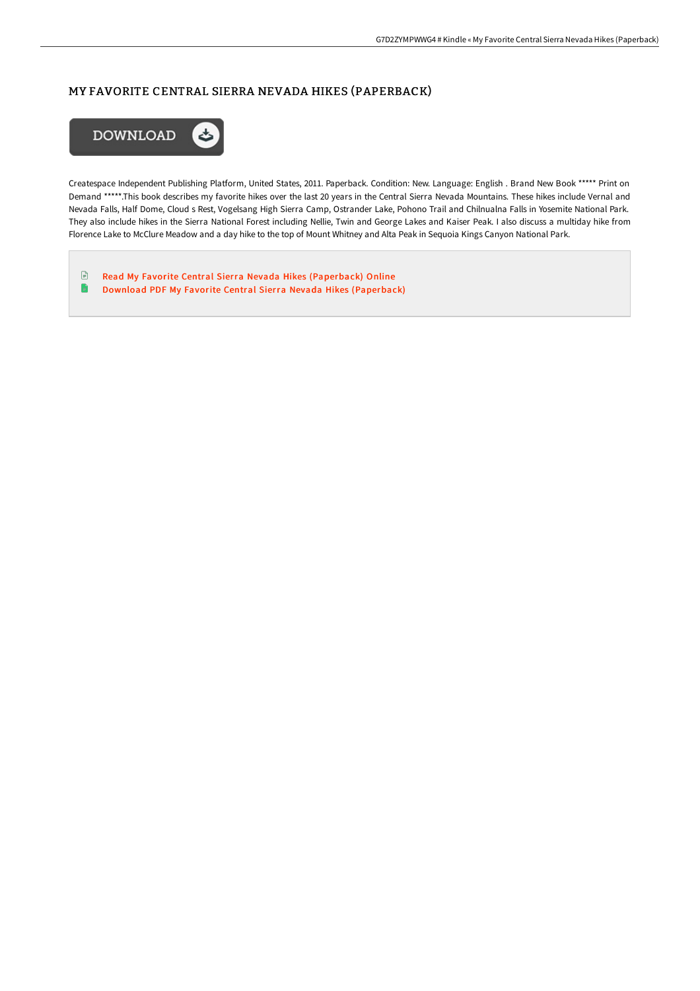# MY FAVORITE CENTRAL SIERRA NEVADA HIKES (PAPERBACK)



Createspace Independent Publishing Platform, United States, 2011. Paperback. Condition: New. Language: English . Brand New Book \*\*\*\*\* Print on Demand \*\*\*\*\*.This book describes my favorite hikes over the last 20 years in the Central Sierra Nevada Mountains. These hikes include Vernal and Nevada Falls, Half Dome, Cloud s Rest, Vogelsang High Sierra Camp, Ostrander Lake, Pohono Trail and Chilnualna Falls in Yosemite National Park. They also include hikes in the Sierra National Forest including Nellie, Twin and George Lakes and Kaiser Peak. I also discuss a multiday hike from Florence Lake to McClure Meadow and a day hike to the top of Mount Whitney and Alta Peak in Sequoia Kings Canyon National Park.

 $\mathbf{F}$ Read My Favorite Central Sierra Nevada Hikes [\(Paperback\)](http://techno-pub.tech/my-favorite-central-sierra-nevada-hikes-paperbac.html) Online  $\blacksquare$ Download PDF My Favorite Central Sierra Nevada Hikes [\(Paperback\)](http://techno-pub.tech/my-favorite-central-sierra-nevada-hikes-paperbac.html)